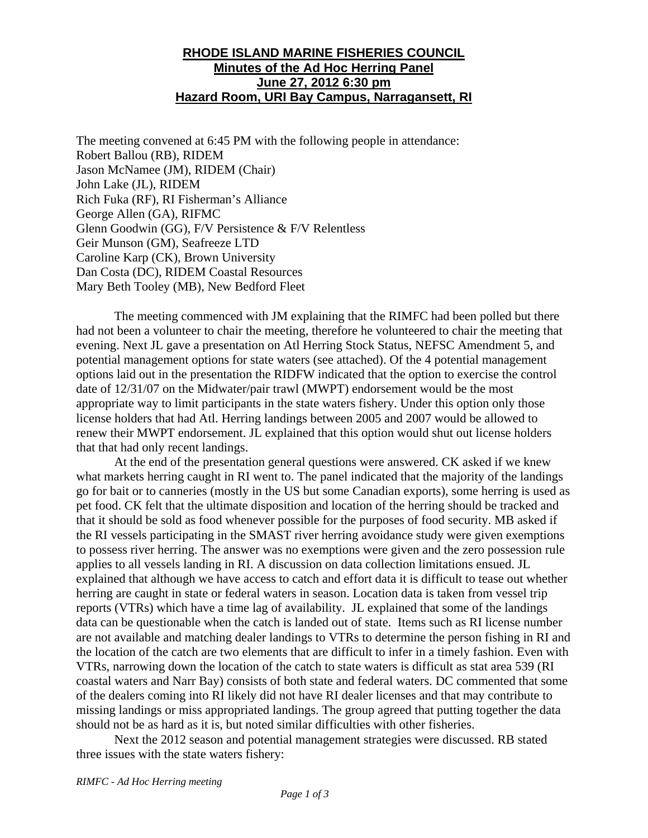### **RHODE ISLAND MARINE FISHERIES COUNCIL Minutes of the Ad Hoc Herring Panel June 27, 2012 6:30 pm Hazard Room, URI Bay Campus, Narragansett, RI**

The meeting convened at 6:45 PM with the following people in attendance: Robert Ballou (RB), RIDEM Jason McNamee (JM), RIDEM (Chair) John Lake (JL), RIDEM Rich Fuka (RF), RI Fisherman's Alliance George Allen (GA), RIFMC Glenn Goodwin (GG), F/V Persistence & F/V Relentless Geir Munson (GM), Seafreeze LTD Caroline Karp (CK), Brown University Dan Costa (DC), RIDEM Coastal Resources Mary Beth Tooley (MB), New Bedford Fleet

The meeting commenced with JM explaining that the RIMFC had been polled but there had not been a volunteer to chair the meeting, therefore he volunteered to chair the meeting that evening. Next JL gave a presentation on Atl Herring Stock Status, NEFSC Amendment 5, and potential management options for state waters (see attached). Of the 4 potential management options laid out in the presentation the RIDFW indicated that the option to exercise the control date of 12/31/07 on the Midwater/pair trawl (MWPT) endorsement would be the most appropriate way to limit participants in the state waters fishery. Under this option only those license holders that had Atl. Herring landings between 2005 and 2007 would be allowed to renew their MWPT endorsement. JL explained that this option would shut out license holders that that had only recent landings.

At the end of the presentation general questions were answered. CK asked if we knew what markets herring caught in RI went to. The panel indicated that the majority of the landings go for bait or to canneries (mostly in the US but some Canadian exports), some herring is used as pet food. CK felt that the ultimate disposition and location of the herring should be tracked and that it should be sold as food whenever possible for the purposes of food security. MB asked if the RI vessels participating in the SMAST river herring avoidance study were given exemptions to possess river herring. The answer was no exemptions were given and the zero possession rule applies to all vessels landing in RI. A discussion on data collection limitations ensued. JL explained that although we have access to catch and effort data it is difficult to tease out whether herring are caught in state or federal waters in season. Location data is taken from vessel trip reports (VTRs) which have a time lag of availability. JL explained that some of the landings data can be questionable when the catch is landed out of state. Items such as RI license number are not available and matching dealer landings to VTRs to determine the person fishing in RI and the location of the catch are two elements that are difficult to infer in a timely fashion. Even with VTRs, narrowing down the location of the catch to state waters is difficult as stat area 539 (RI coastal waters and Narr Bay) consists of both state and federal waters. DC commented that some of the dealers coming into RI likely did not have RI dealer licenses and that may contribute to missing landings or miss appropriated landings. The group agreed that putting together the data should not be as hard as it is, but noted similar difficulties with other fisheries.

Next the 2012 season and potential management strategies were discussed. RB stated three issues with the state waters fishery: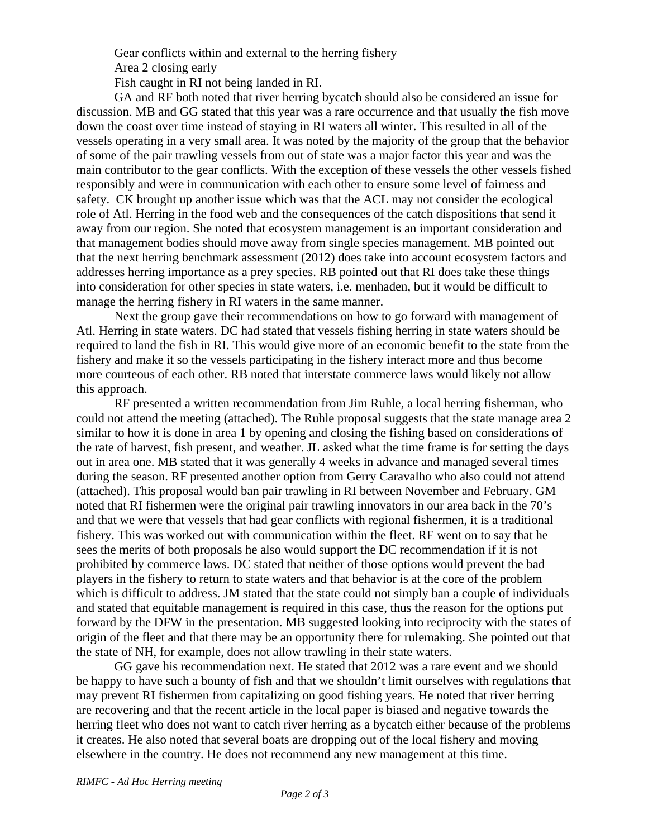Gear conflicts within and external to the herring fishery Area 2 closing early

Fish caught in RI not being landed in RI.

GA and RF both noted that river herring bycatch should also be considered an issue for discussion. MB and GG stated that this year was a rare occurrence and that usually the fish move down the coast over time instead of staying in RI waters all winter. This resulted in all of the vessels operating in a very small area. It was noted by the majority of the group that the behavior of some of the pair trawling vessels from out of state was a major factor this year and was the main contributor to the gear conflicts. With the exception of these vessels the other vessels fished responsibly and were in communication with each other to ensure some level of fairness and safety. CK brought up another issue which was that the ACL may not consider the ecological role of Atl. Herring in the food web and the consequences of the catch dispositions that send it away from our region. She noted that ecosystem management is an important consideration and that management bodies should move away from single species management. MB pointed out that the next herring benchmark assessment (2012) does take into account ecosystem factors and addresses herring importance as a prey species. RB pointed out that RI does take these things into consideration for other species in state waters, i.e. menhaden, but it would be difficult to manage the herring fishery in RI waters in the same manner.

Next the group gave their recommendations on how to go forward with management of Atl. Herring in state waters. DC had stated that vessels fishing herring in state waters should be required to land the fish in RI. This would give more of an economic benefit to the state from the fishery and make it so the vessels participating in the fishery interact more and thus become more courteous of each other. RB noted that interstate commerce laws would likely not allow this approach.

RF presented a written recommendation from Jim Ruhle, a local herring fisherman, who could not attend the meeting (attached). The Ruhle proposal suggests that the state manage area 2 similar to how it is done in area 1 by opening and closing the fishing based on considerations of the rate of harvest, fish present, and weather. JL asked what the time frame is for setting the days out in area one. MB stated that it was generally 4 weeks in advance and managed several times during the season. RF presented another option from Gerry Caravalho who also could not attend (attached). This proposal would ban pair trawling in RI between November and February. GM noted that RI fishermen were the original pair trawling innovators in our area back in the 70's and that we were that vessels that had gear conflicts with regional fishermen, it is a traditional fishery. This was worked out with communication within the fleet. RF went on to say that he sees the merits of both proposals he also would support the DC recommendation if it is not prohibited by commerce laws. DC stated that neither of those options would prevent the bad players in the fishery to return to state waters and that behavior is at the core of the problem which is difficult to address. JM stated that the state could not simply ban a couple of individuals and stated that equitable management is required in this case, thus the reason for the options put forward by the DFW in the presentation. MB suggested looking into reciprocity with the states of origin of the fleet and that there may be an opportunity there for rulemaking. She pointed out that the state of NH, for example, does not allow trawling in their state waters.

GG gave his recommendation next. He stated that 2012 was a rare event and we should be happy to have such a bounty of fish and that we shouldn't limit ourselves with regulations that may prevent RI fishermen from capitalizing on good fishing years. He noted that river herring are recovering and that the recent article in the local paper is biased and negative towards the herring fleet who does not want to catch river herring as a bycatch either because of the problems it creates. He also noted that several boats are dropping out of the local fishery and moving elsewhere in the country. He does not recommend any new management at this time.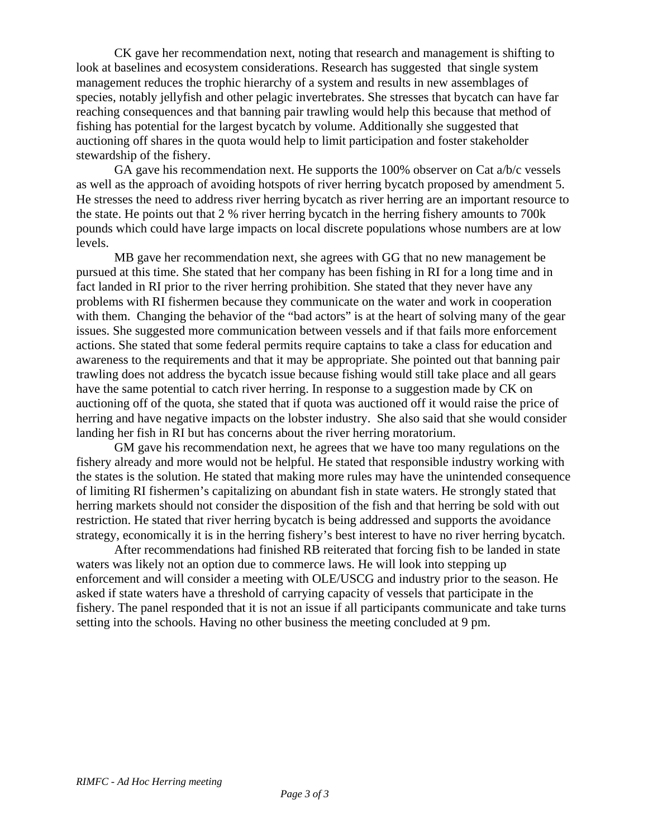CK gave her recommendation next, noting that research and management is shifting to look at baselines and ecosystem considerations. Research has suggested that single system management reduces the trophic hierarchy of a system and results in new assemblages of species, notably jellyfish and other pelagic invertebrates. She stresses that bycatch can have far reaching consequences and that banning pair trawling would help this because that method of fishing has potential for the largest bycatch by volume. Additionally she suggested that auctioning off shares in the quota would help to limit participation and foster stakeholder stewardship of the fishery.

GA gave his recommendation next. He supports the  $100\%$  observer on Cat a/b/c vessels as well as the approach of avoiding hotspots of river herring bycatch proposed by amendment 5. He stresses the need to address river herring bycatch as river herring are an important resource to the state. He points out that 2 % river herring bycatch in the herring fishery amounts to 700k pounds which could have large impacts on local discrete populations whose numbers are at low levels.

MB gave her recommendation next, she agrees with GG that no new management be pursued at this time. She stated that her company has been fishing in RI for a long time and in fact landed in RI prior to the river herring prohibition. She stated that they never have any problems with RI fishermen because they communicate on the water and work in cooperation with them. Changing the behavior of the "bad actors" is at the heart of solving many of the gear issues. She suggested more communication between vessels and if that fails more enforcement actions. She stated that some federal permits require captains to take a class for education and awareness to the requirements and that it may be appropriate. She pointed out that banning pair trawling does not address the bycatch issue because fishing would still take place and all gears have the same potential to catch river herring. In response to a suggestion made by CK on auctioning off of the quota, she stated that if quota was auctioned off it would raise the price of herring and have negative impacts on the lobster industry. She also said that she would consider landing her fish in RI but has concerns about the river herring moratorium.

GM gave his recommendation next, he agrees that we have too many regulations on the fishery already and more would not be helpful. He stated that responsible industry working with the states is the solution. He stated that making more rules may have the unintended consequence of limiting RI fishermen's capitalizing on abundant fish in state waters. He strongly stated that herring markets should not consider the disposition of the fish and that herring be sold with out restriction. He stated that river herring bycatch is being addressed and supports the avoidance strategy, economically it is in the herring fishery's best interest to have no river herring bycatch.

After recommendations had finished RB reiterated that forcing fish to be landed in state waters was likely not an option due to commerce laws. He will look into stepping up enforcement and will consider a meeting with OLE/USCG and industry prior to the season. He asked if state waters have a threshold of carrying capacity of vessels that participate in the fishery. The panel responded that it is not an issue if all participants communicate and take turns setting into the schools. Having no other business the meeting concluded at 9 pm.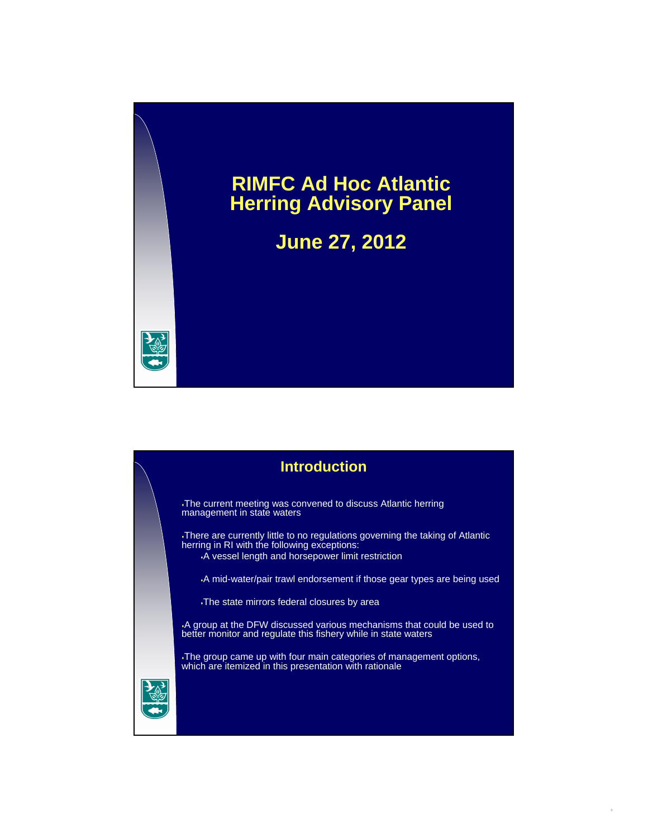

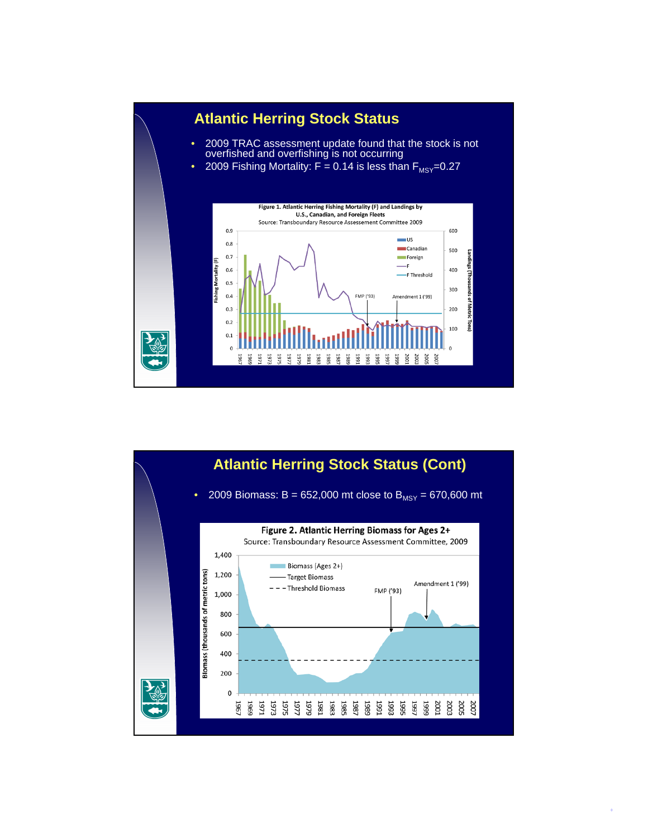

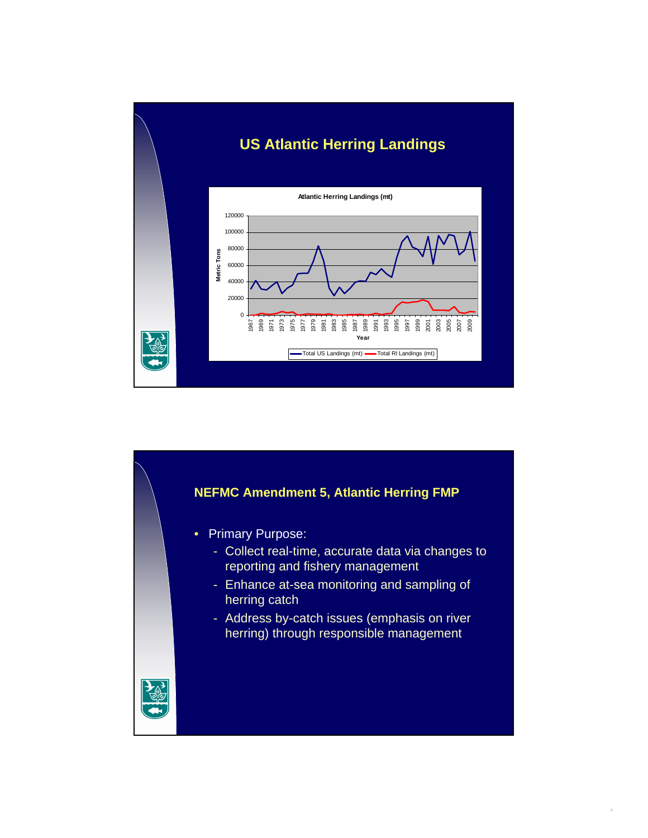

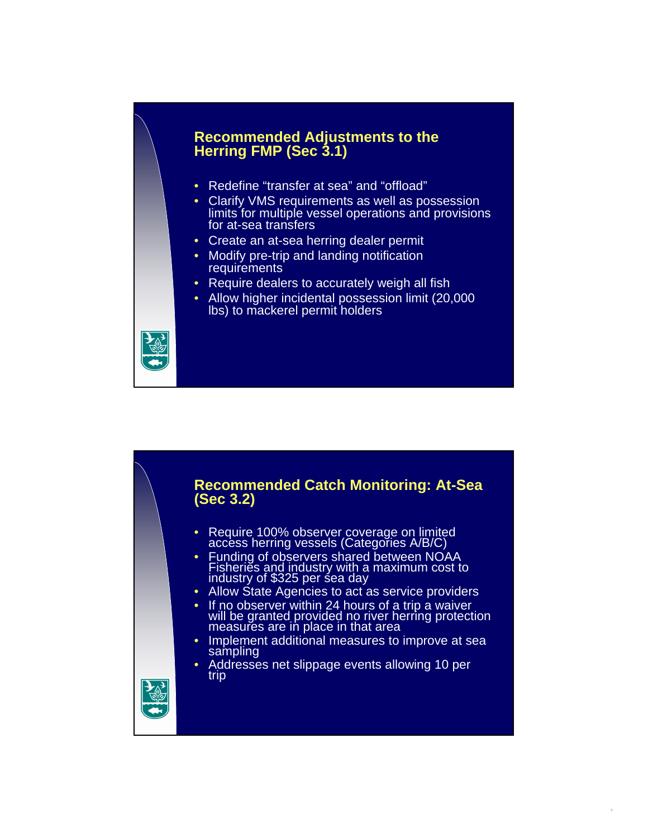## **Recommended Adjustments to the Herring FMP (Sec 3.1)**

- Redefine "transfer at sea" and "offload"
- Clarify VMS requirements as well as possession limits for multiple vessel operations and provisions for at-sea transfers
- Create an at-sea herring dealer permit
- Modify pre-trip and landing notification requirements
- Require dealers to accurately weigh all fish
- Allow higher incidental possession limit (20,000 lbs) to mackerel permit holders



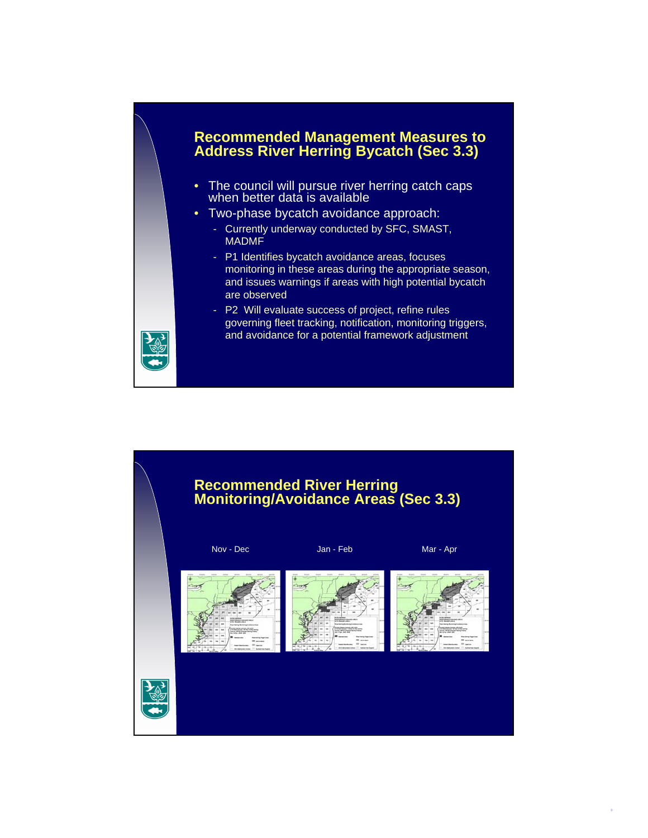# **Recommended Management Measures to Address River Herring Bycatch (Sec 3.3)**

- The council will pursue river herring catch caps when better data is available
- Two-phase bycatch avoidance approach:
	- Currently underway conducted by SFC, SMAST, MADMF
	- P1 Identifies bycatch avoidance areas, focuses monitoring in these areas during the appropriate season, and issues warnings if areas with high potential bycatch are observed
	- P2 Will evaluate success of project, refine rules governing fleet tracking, notification, monitoring triggers, and avoidance for a potential framework adjustment

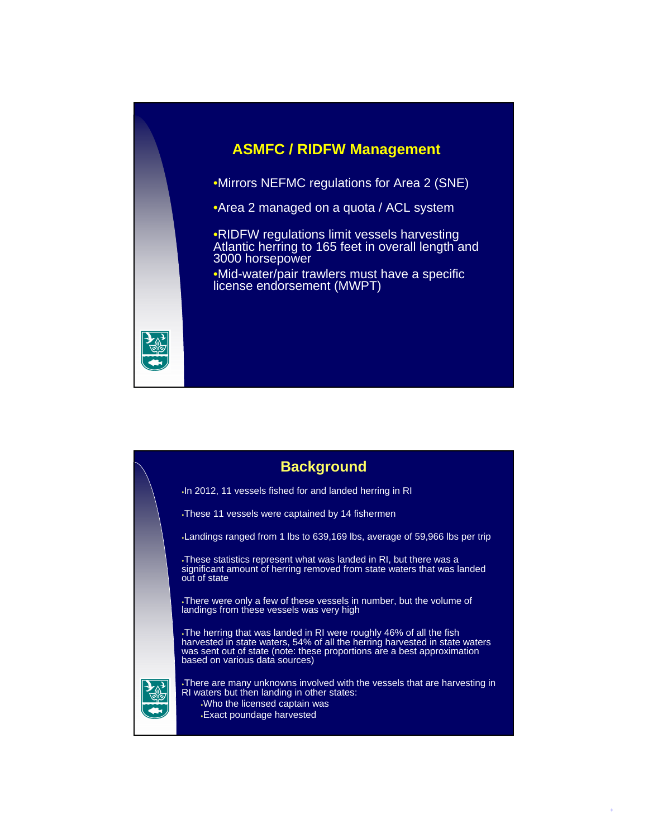

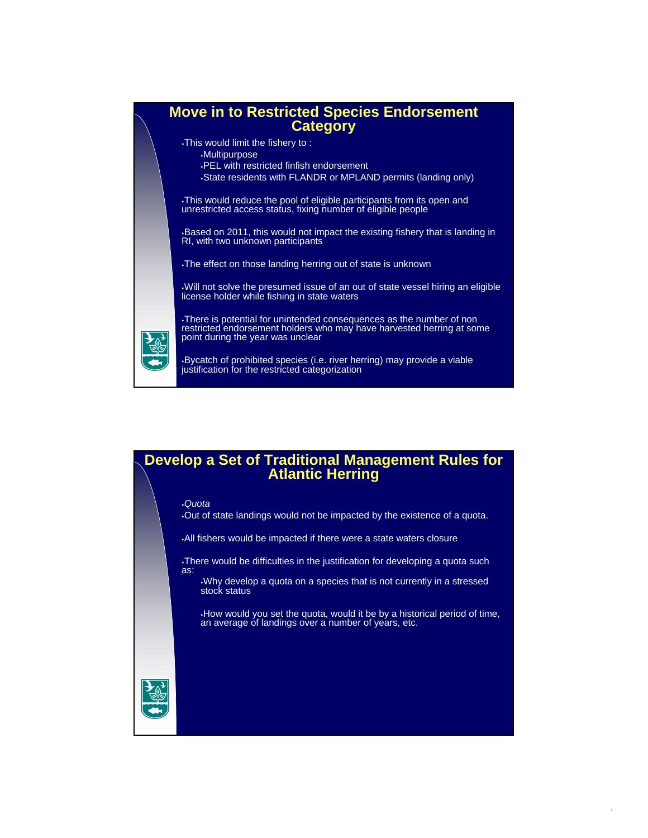# **Move in to Restricted Species Endorsement Category**

This would limit the fishery to :

- Multipurpose
- PEL with restricted finfish endorsement
- State residents with FLANDR or MPLAND permits (landing only)

This would reduce the pool of eligible participants from its open and unrestricted access status, fixing number of eligible people

Based on 2011, this would not impact the existing fishery that is landing in RI, with two unknown participants

The effect on those landing herring out of state is unknown

Will not solve the presumed issue of an out of state vessel hiring an eligible license holder while fishing in state waters



There is potential for unintended consequences as the number of non restricted endorsement holders who may have harvested herring at some point during the year was unclear

Bycatch of prohibited species (i.e. river herring) may provide a viable justification for the restricted categorization

## **Develop a Set of Traditional Management Rules for Atlantic Herring**

#### *Quota*

Out of state landings would not be impacted by the existence of a quota.

All fishers would be impacted if there were a state waters closure

There would be difficulties in the justification for developing a quota such as:

Why develop a quota on a species that is not currently in a stressed stock status

How would you set the quota, would it be by a historical period of time, an average of landings over a number of years, etc.

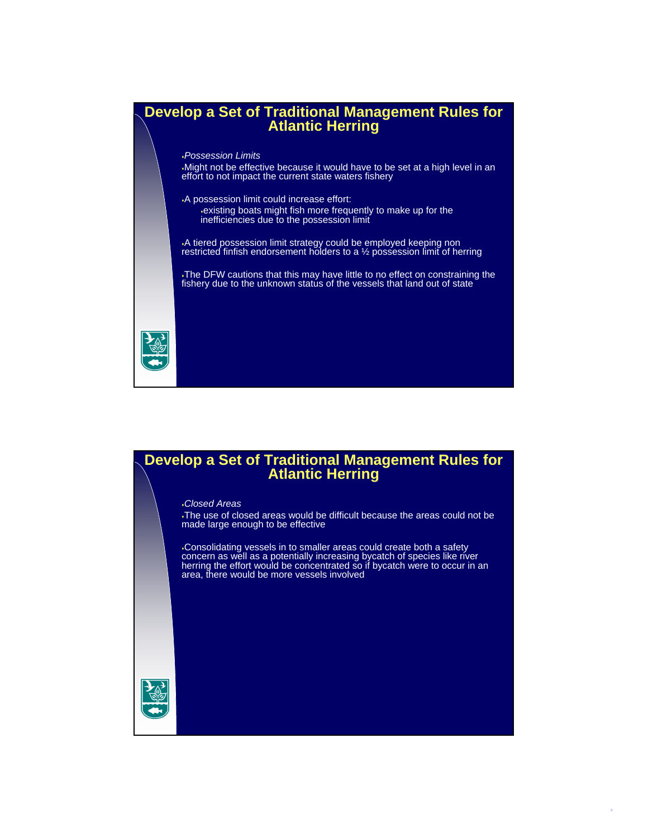

# **Develop a Set of Traditional Management Rules for Atlantic Herring**

#### *Closed Areas*

The use of closed areas would be difficult because the areas could not be made large enough to be effective

Consolidating vessels in to smaller areas could create both a safety concern as well as a potentially increasing bycatch of species like river herring the effort would be concentrated so if bycatch were to occur in an area, there would be more vessels involved

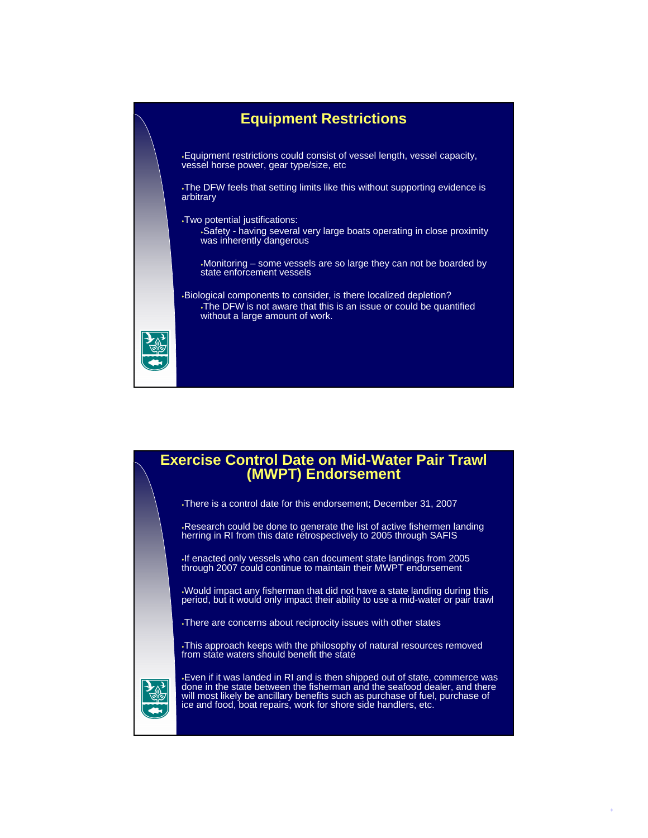